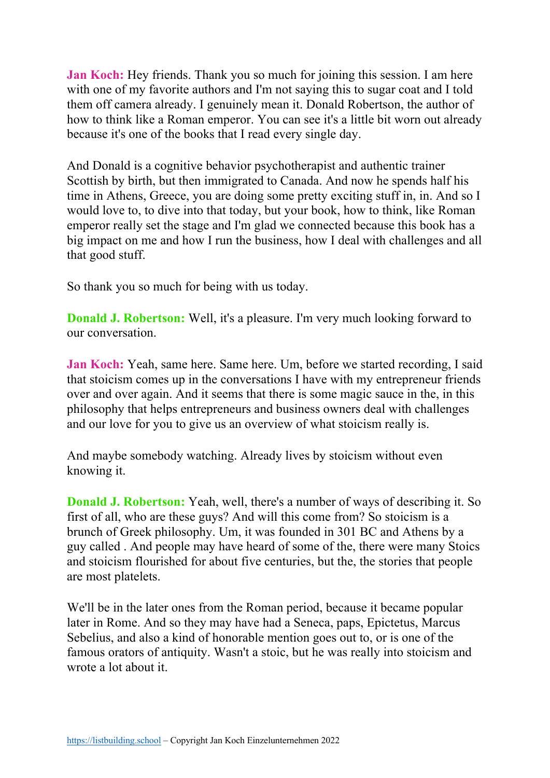**Jan Koch:** Hey friends. Thank you so much for joining this session. I am here with one of my favorite authors and I'm not saying this to sugar coat and I told them off camera already. I genuinely mean it. Donald Robertson, the author of how to think like a Roman emperor. You can see it's a little bit worn out already because it's one of the books that I read every single day.

And Donald is a cognitive behavior psychotherapist and authentic trainer Scottish by birth, but then immigrated to Canada. And now he spends half his time in Athens, Greece, you are doing some pretty exciting stuff in, in. And so I would love to, to dive into that today, but your book, how to think, like Roman emperor really set the stage and I'm glad we connected because this book has a big impact on me and how I run the business, how I deal with challenges and all that good stuff.

So thank you so much for being with us today.

**Donald J. Robertson:** Well, it's a pleasure. I'm very much looking forward to our conversation.

**Jan Koch:** Yeah, same here. Same here. Um, before we started recording, I said that stoicism comes up in the conversations I have with my entrepreneur friends over and over again. And it seems that there is some magic sauce in the, in this philosophy that helps entrepreneurs and business owners deal with challenges and our love for you to give us an overview of what stoicism really is.

And maybe somebody watching. Already lives by stoicism without even knowing it.

**Donald J. Robertson:** Yeah, well, there's a number of ways of describing it. So first of all, who are these guys? And will this come from? So stoicism is a brunch of Greek philosophy. Um, it was founded in 301 BC and Athens by a guy called . And people may have heard of some of the, there were many Stoics and stoicism flourished for about five centuries, but the, the stories that people are most platelets.

We'll be in the later ones from the Roman period, because it became popular later in Rome. And so they may have had a Seneca, paps, Epictetus, Marcus Sebelius, and also a kind of honorable mention goes out to, or is one of the famous orators of antiquity. Wasn't a stoic, but he was really into stoicism and wrote a lot about it.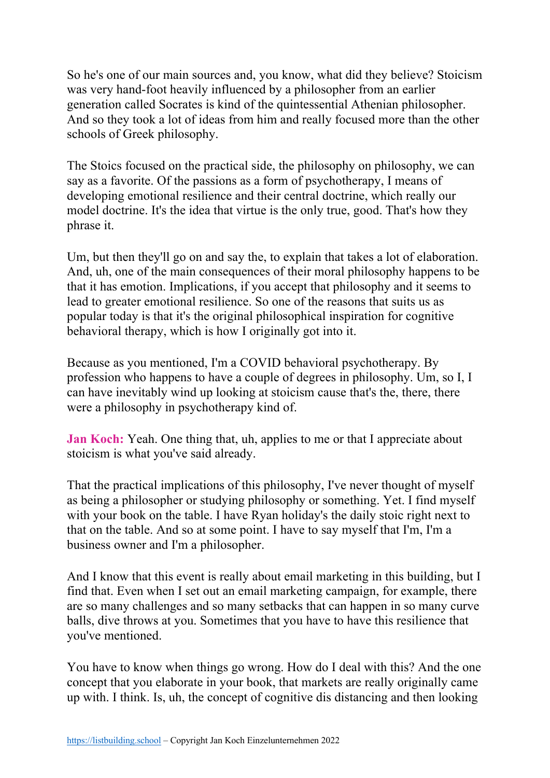So he's one of our main sources and, you know, what did they believe? Stoicism was very hand-foot heavily influenced by a philosopher from an earlier generation called Socrates is kind of the quintessential Athenian philosopher. And so they took a lot of ideas from him and really focused more than the other schools of Greek philosophy.

The Stoics focused on the practical side, the philosophy on philosophy, we can say as a favorite. Of the passions as a form of psychotherapy, I means of developing emotional resilience and their central doctrine, which really our model doctrine. It's the idea that virtue is the only true, good. That's how they phrase it.

Um, but then they'll go on and say the, to explain that takes a lot of elaboration. And, uh, one of the main consequences of their moral philosophy happens to be that it has emotion. Implications, if you accept that philosophy and it seems to lead to greater emotional resilience. So one of the reasons that suits us as popular today is that it's the original philosophical inspiration for cognitive behavioral therapy, which is how I originally got into it.

Because as you mentioned, I'm a COVID behavioral psychotherapy. By profession who happens to have a couple of degrees in philosophy. Um, so I, I can have inevitably wind up looking at stoicism cause that's the, there, there were a philosophy in psychotherapy kind of.

**Jan Koch:** Yeah. One thing that, uh, applies to me or that I appreciate about stoicism is what you've said already.

That the practical implications of this philosophy, I've never thought of myself as being a philosopher or studying philosophy or something. Yet. I find myself with your book on the table. I have Ryan holiday's the daily stoic right next to that on the table. And so at some point. I have to say myself that I'm, I'm a business owner and I'm a philosopher.

And I know that this event is really about email marketing in this building, but I find that. Even when I set out an email marketing campaign, for example, there are so many challenges and so many setbacks that can happen in so many curve balls, dive throws at you. Sometimes that you have to have this resilience that you've mentioned.

You have to know when things go wrong. How do I deal with this? And the one concept that you elaborate in your book, that markets are really originally came up with. I think. Is, uh, the concept of cognitive dis distancing and then looking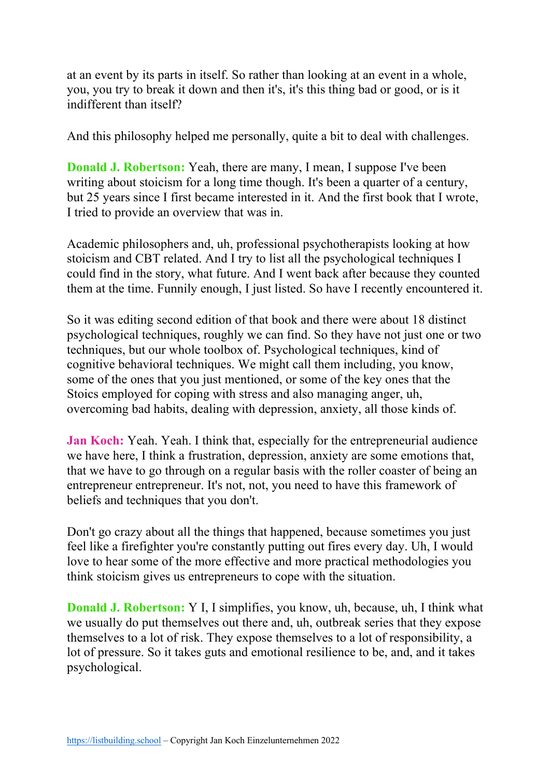at an event by its parts in itself. So rather than looking at an event in a whole, you, you try to break it down and then it's, it's this thing bad or good, or is it indifferent than itself?

And this philosophy helped me personally, quite a bit to deal with challenges.

**Donald J. Robertson:** Yeah, there are many, I mean, I suppose I've been writing about stoicism for a long time though. It's been a quarter of a century, but 25 years since I first became interested in it. And the first book that I wrote, I tried to provide an overview that was in.

Academic philosophers and, uh, professional psychotherapists looking at how stoicism and CBT related. And I try to list all the psychological techniques I could find in the story, what future. And I went back after because they counted them at the time. Funnily enough, I just listed. So have I recently encountered it.

So it was editing second edition of that book and there were about 18 distinct psychological techniques, roughly we can find. So they have not just one or two techniques, but our whole toolbox of. Psychological techniques, kind of cognitive behavioral techniques. We might call them including, you know, some of the ones that you just mentioned, or some of the key ones that the Stoics employed for coping with stress and also managing anger, uh, overcoming bad habits, dealing with depression, anxiety, all those kinds of.

**Jan Koch:** Yeah. Yeah. I think that, especially for the entrepreneurial audience we have here, I think a frustration, depression, anxiety are some emotions that, that we have to go through on a regular basis with the roller coaster of being an entrepreneur entrepreneur. It's not, not, you need to have this framework of beliefs and techniques that you don't.

Don't go crazy about all the things that happened, because sometimes you just feel like a firefighter you're constantly putting out fires every day. Uh, I would love to hear some of the more effective and more practical methodologies you think stoicism gives us entrepreneurs to cope with the situation.

**Donald J. Robertson:** Y I, I simplifies, you know, uh, because, uh, I think what we usually do put themselves out there and, uh, outbreak series that they expose themselves to a lot of risk. They expose themselves to a lot of responsibility, a lot of pressure. So it takes guts and emotional resilience to be, and, and it takes psychological.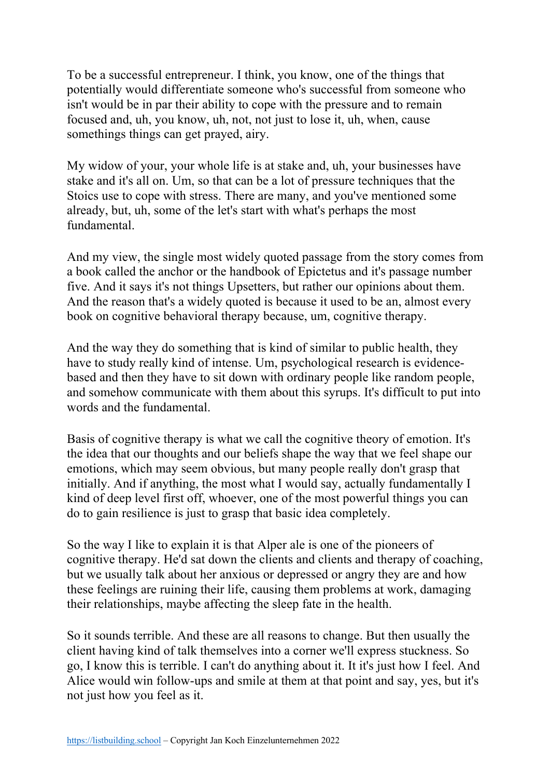To be a successful entrepreneur. I think, you know, one of the things that potentially would differentiate someone who's successful from someone who isn't would be in par their ability to cope with the pressure and to remain focused and, uh, you know, uh, not, not just to lose it, uh, when, cause somethings things can get prayed, airy.

My widow of your, your whole life is at stake and, uh, your businesses have stake and it's all on. Um, so that can be a lot of pressure techniques that the Stoics use to cope with stress. There are many, and you've mentioned some already, but, uh, some of the let's start with what's perhaps the most fundamental.

And my view, the single most widely quoted passage from the story comes from a book called the anchor or the handbook of Epictetus and it's passage number five. And it says it's not things Upsetters, but rather our opinions about them. And the reason that's a widely quoted is because it used to be an, almost every book on cognitive behavioral therapy because, um, cognitive therapy.

And the way they do something that is kind of similar to public health, they have to study really kind of intense. Um, psychological research is evidencebased and then they have to sit down with ordinary people like random people, and somehow communicate with them about this syrups. It's difficult to put into words and the fundamental.

Basis of cognitive therapy is what we call the cognitive theory of emotion. It's the idea that our thoughts and our beliefs shape the way that we feel shape our emotions, which may seem obvious, but many people really don't grasp that initially. And if anything, the most what I would say, actually fundamentally I kind of deep level first off, whoever, one of the most powerful things you can do to gain resilience is just to grasp that basic idea completely.

So the way I like to explain it is that Alper ale is one of the pioneers of cognitive therapy. He'd sat down the clients and clients and therapy of coaching, but we usually talk about her anxious or depressed or angry they are and how these feelings are ruining their life, causing them problems at work, damaging their relationships, maybe affecting the sleep fate in the health.

So it sounds terrible. And these are all reasons to change. But then usually the client having kind of talk themselves into a corner we'll express stuckness. So go, I know this is terrible. I can't do anything about it. It it's just how I feel. And Alice would win follow-ups and smile at them at that point and say, yes, but it's not just how you feel as it.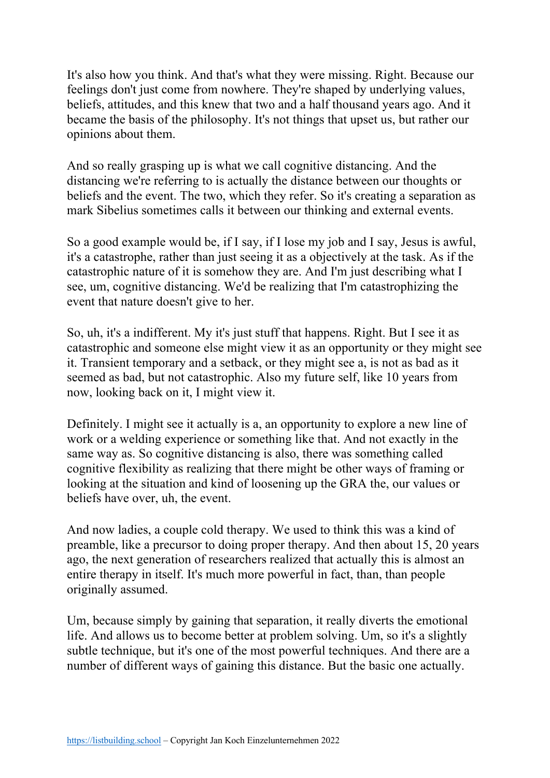It's also how you think. And that's what they were missing. Right. Because our feelings don't just come from nowhere. They're shaped by underlying values, beliefs, attitudes, and this knew that two and a half thousand years ago. And it became the basis of the philosophy. It's not things that upset us, but rather our opinions about them.

And so really grasping up is what we call cognitive distancing. And the distancing we're referring to is actually the distance between our thoughts or beliefs and the event. The two, which they refer. So it's creating a separation as mark Sibelius sometimes calls it between our thinking and external events.

So a good example would be, if I say, if I lose my job and I say, Jesus is awful, it's a catastrophe, rather than just seeing it as a objectively at the task. As if the catastrophic nature of it is somehow they are. And I'm just describing what I see, um, cognitive distancing. We'd be realizing that I'm catastrophizing the event that nature doesn't give to her.

So, uh, it's a indifferent. My it's just stuff that happens. Right. But I see it as catastrophic and someone else might view it as an opportunity or they might see it. Transient temporary and a setback, or they might see a, is not as bad as it seemed as bad, but not catastrophic. Also my future self, like 10 years from now, looking back on it, I might view it.

Definitely. I might see it actually is a, an opportunity to explore a new line of work or a welding experience or something like that. And not exactly in the same way as. So cognitive distancing is also, there was something called cognitive flexibility as realizing that there might be other ways of framing or looking at the situation and kind of loosening up the GRA the, our values or beliefs have over, uh, the event.

And now ladies, a couple cold therapy. We used to think this was a kind of preamble, like a precursor to doing proper therapy. And then about 15, 20 years ago, the next generation of researchers realized that actually this is almost an entire therapy in itself. It's much more powerful in fact, than, than people originally assumed.

Um, because simply by gaining that separation, it really diverts the emotional life. And allows us to become better at problem solving. Um, so it's a slightly subtle technique, but it's one of the most powerful techniques. And there are a number of different ways of gaining this distance. But the basic one actually.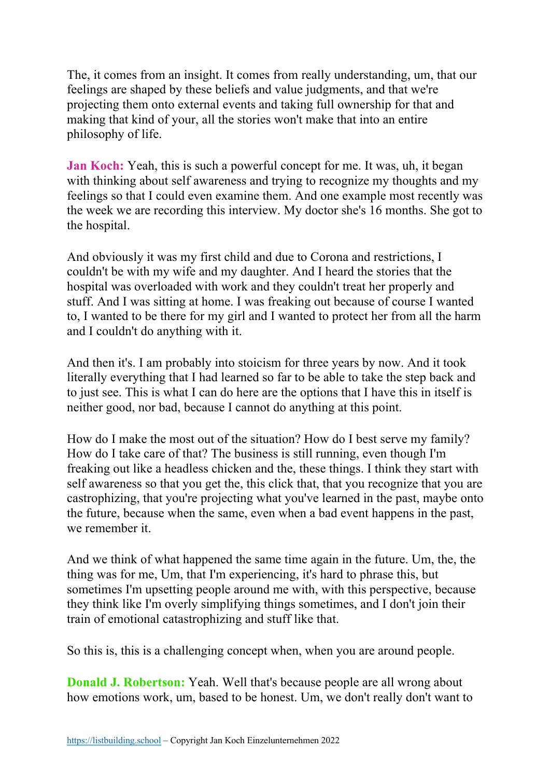The, it comes from an insight. It comes from really understanding, um, that our feelings are shaped by these beliefs and value judgments, and that we're projecting them onto external events and taking full ownership for that and making that kind of your, all the stories won't make that into an entire philosophy of life.

**Jan Koch:** Yeah, this is such a powerful concept for me. It was, uh, it began with thinking about self awareness and trying to recognize my thoughts and my feelings so that I could even examine them. And one example most recently was the week we are recording this interview. My doctor she's 16 months. She got to the hospital.

And obviously it was my first child and due to Corona and restrictions, I couldn't be with my wife and my daughter. And I heard the stories that the hospital was overloaded with work and they couldn't treat her properly and stuff. And I was sitting at home. I was freaking out because of course I wanted to, I wanted to be there for my girl and I wanted to protect her from all the harm and I couldn't do anything with it.

And then it's. I am probably into stoicism for three years by now. And it took literally everything that I had learned so far to be able to take the step back and to just see. This is what I can do here are the options that I have this in itself is neither good, nor bad, because I cannot do anything at this point.

How do I make the most out of the situation? How do I best serve my family? How do I take care of that? The business is still running, even though I'm freaking out like a headless chicken and the, these things. I think they start with self awareness so that you get the, this click that, that you recognize that you are castrophizing, that you're projecting what you've learned in the past, maybe onto the future, because when the same, even when a bad event happens in the past, we remember it.

And we think of what happened the same time again in the future. Um, the, the thing was for me, Um, that I'm experiencing, it's hard to phrase this, but sometimes I'm upsetting people around me with, with this perspective, because they think like I'm overly simplifying things sometimes, and I don't join their train of emotional catastrophizing and stuff like that.

So this is, this is a challenging concept when, when you are around people.

**Donald J. Robertson:** Yeah. Well that's because people are all wrong about how emotions work, um, based to be honest. Um, we don't really don't want to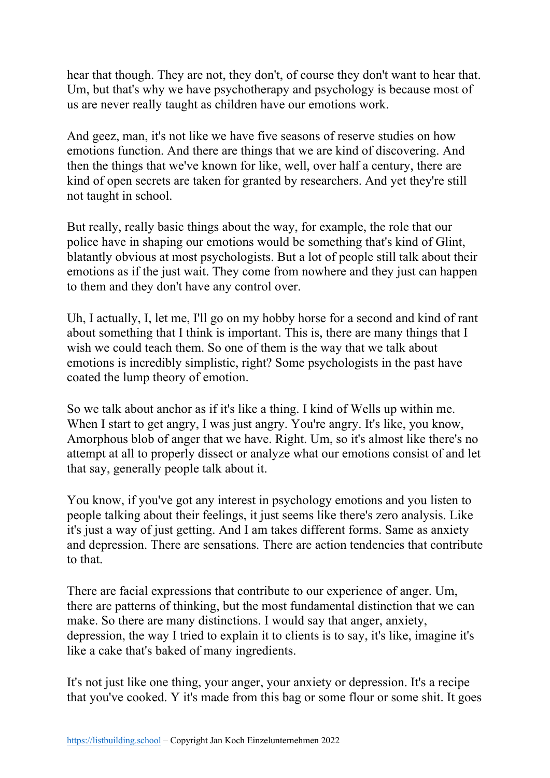hear that though. They are not, they don't, of course they don't want to hear that. Um, but that's why we have psychotherapy and psychology is because most of us are never really taught as children have our emotions work.

And geez, man, it's not like we have five seasons of reserve studies on how emotions function. And there are things that we are kind of discovering. And then the things that we've known for like, well, over half a century, there are kind of open secrets are taken for granted by researchers. And yet they're still not taught in school.

But really, really basic things about the way, for example, the role that our police have in shaping our emotions would be something that's kind of Glint, blatantly obvious at most psychologists. But a lot of people still talk about their emotions as if the just wait. They come from nowhere and they just can happen to them and they don't have any control over.

Uh, I actually, I, let me, I'll go on my hobby horse for a second and kind of rant about something that I think is important. This is, there are many things that I wish we could teach them. So one of them is the way that we talk about emotions is incredibly simplistic, right? Some psychologists in the past have coated the lump theory of emotion.

So we talk about anchor as if it's like a thing. I kind of Wells up within me. When I start to get angry, I was just angry. You're angry. It's like, you know, Amorphous blob of anger that we have. Right. Um, so it's almost like there's no attempt at all to properly dissect or analyze what our emotions consist of and let that say, generally people talk about it.

You know, if you've got any interest in psychology emotions and you listen to people talking about their feelings, it just seems like there's zero analysis. Like it's just a way of just getting. And I am takes different forms. Same as anxiety and depression. There are sensations. There are action tendencies that contribute to that.

There are facial expressions that contribute to our experience of anger. Um, there are patterns of thinking, but the most fundamental distinction that we can make. So there are many distinctions. I would say that anger, anxiety, depression, the way I tried to explain it to clients is to say, it's like, imagine it's like a cake that's baked of many ingredients.

It's not just like one thing, your anger, your anxiety or depression. It's a recipe that you've cooked. Y it's made from this bag or some flour or some shit. It goes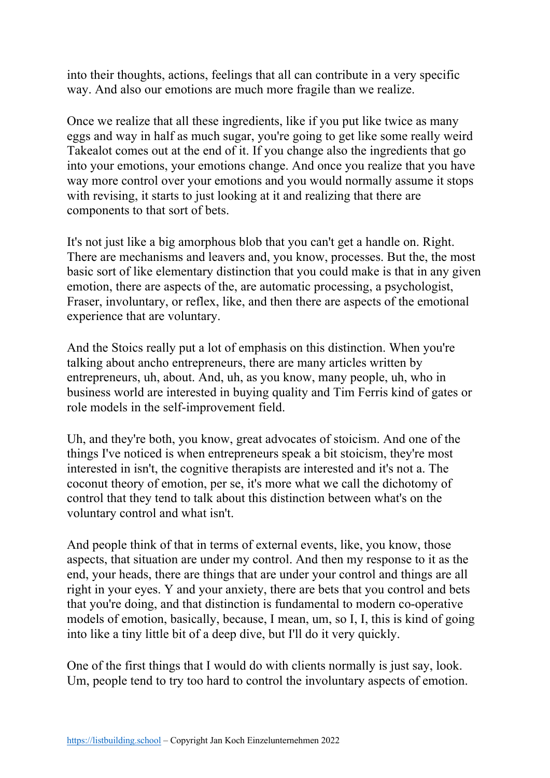into their thoughts, actions, feelings that all can contribute in a very specific way. And also our emotions are much more fragile than we realize.

Once we realize that all these ingredients, like if you put like twice as many eggs and way in half as much sugar, you're going to get like some really weird Takealot comes out at the end of it. If you change also the ingredients that go into your emotions, your emotions change. And once you realize that you have way more control over your emotions and you would normally assume it stops with revising, it starts to just looking at it and realizing that there are components to that sort of bets.

It's not just like a big amorphous blob that you can't get a handle on. Right. There are mechanisms and leavers and, you know, processes. But the, the most basic sort of like elementary distinction that you could make is that in any given emotion, there are aspects of the, are automatic processing, a psychologist, Fraser, involuntary, or reflex, like, and then there are aspects of the emotional experience that are voluntary.

And the Stoics really put a lot of emphasis on this distinction. When you're talking about ancho entrepreneurs, there are many articles written by entrepreneurs, uh, about. And, uh, as you know, many people, uh, who in business world are interested in buying quality and Tim Ferris kind of gates or role models in the self-improvement field.

Uh, and they're both, you know, great advocates of stoicism. And one of the things I've noticed is when entrepreneurs speak a bit stoicism, they're most interested in isn't, the cognitive therapists are interested and it's not a. The coconut theory of emotion, per se, it's more what we call the dichotomy of control that they tend to talk about this distinction between what's on the voluntary control and what isn't.

And people think of that in terms of external events, like, you know, those aspects, that situation are under my control. And then my response to it as the end, your heads, there are things that are under your control and things are all right in your eyes. Y and your anxiety, there are bets that you control and bets that you're doing, and that distinction is fundamental to modern co-operative models of emotion, basically, because, I mean, um, so I, I, this is kind of going into like a tiny little bit of a deep dive, but I'll do it very quickly.

One of the first things that I would do with clients normally is just say, look. Um, people tend to try too hard to control the involuntary aspects of emotion.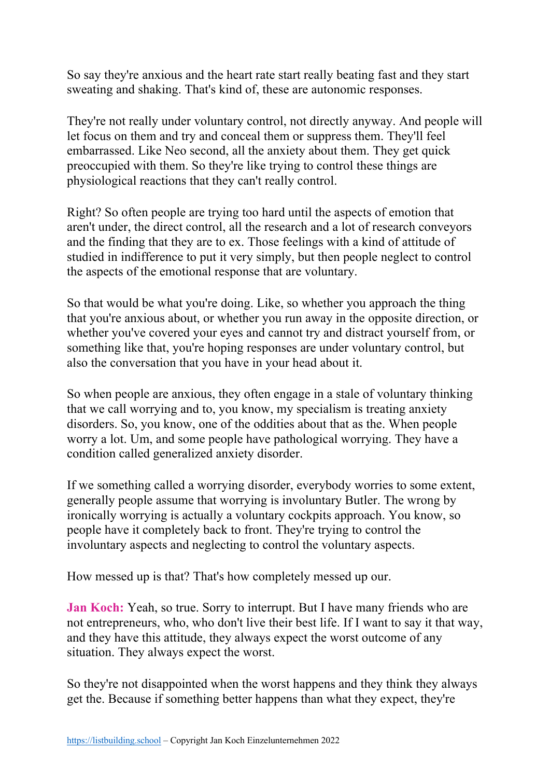So say they're anxious and the heart rate start really beating fast and they start sweating and shaking. That's kind of, these are autonomic responses.

They're not really under voluntary control, not directly anyway. And people will let focus on them and try and conceal them or suppress them. They'll feel embarrassed. Like Neo second, all the anxiety about them. They get quick preoccupied with them. So they're like trying to control these things are physiological reactions that they can't really control.

Right? So often people are trying too hard until the aspects of emotion that aren't under, the direct control, all the research and a lot of research conveyors and the finding that they are to ex. Those feelings with a kind of attitude of studied in indifference to put it very simply, but then people neglect to control the aspects of the emotional response that are voluntary.

So that would be what you're doing. Like, so whether you approach the thing that you're anxious about, or whether you run away in the opposite direction, or whether you've covered your eyes and cannot try and distract yourself from, or something like that, you're hoping responses are under voluntary control, but also the conversation that you have in your head about it.

So when people are anxious, they often engage in a stale of voluntary thinking that we call worrying and to, you know, my specialism is treating anxiety disorders. So, you know, one of the oddities about that as the. When people worry a lot. Um, and some people have pathological worrying. They have a condition called generalized anxiety disorder.

If we something called a worrying disorder, everybody worries to some extent, generally people assume that worrying is involuntary Butler. The wrong by ironically worrying is actually a voluntary cockpits approach. You know, so people have it completely back to front. They're trying to control the involuntary aspects and neglecting to control the voluntary aspects.

How messed up is that? That's how completely messed up our.

**Jan Koch:** Yeah, so true. Sorry to interrupt. But I have many friends who are not entrepreneurs, who, who don't live their best life. If I want to say it that way, and they have this attitude, they always expect the worst outcome of any situation. They always expect the worst.

So they're not disappointed when the worst happens and they think they always get the. Because if something better happens than what they expect, they're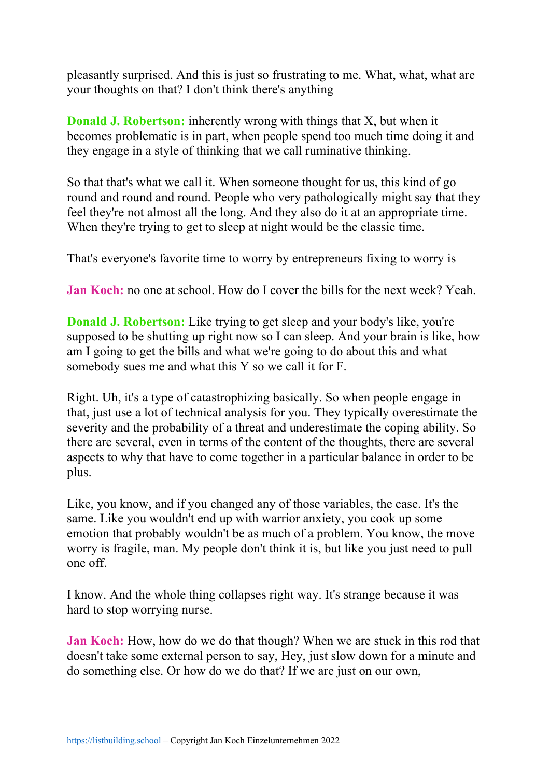pleasantly surprised. And this is just so frustrating to me. What, what, what are your thoughts on that? I don't think there's anything

**Donald J. Robertson:** inherently wrong with things that X, but when it becomes problematic is in part, when people spend too much time doing it and they engage in a style of thinking that we call ruminative thinking.

So that that's what we call it. When someone thought for us, this kind of go round and round and round. People who very pathologically might say that they feel they're not almost all the long. And they also do it at an appropriate time. When they're trying to get to sleep at night would be the classic time.

That's everyone's favorite time to worry by entrepreneurs fixing to worry is

**Jan Koch:** no one at school. How do I cover the bills for the next week? Yeah.

**Donald J. Robertson:** Like trying to get sleep and your body's like, you're supposed to be shutting up right now so I can sleep. And your brain is like, how am I going to get the bills and what we're going to do about this and what somebody sues me and what this Y so we call it for F.

Right. Uh, it's a type of catastrophizing basically. So when people engage in that, just use a lot of technical analysis for you. They typically overestimate the severity and the probability of a threat and underestimate the coping ability. So there are several, even in terms of the content of the thoughts, there are several aspects to why that have to come together in a particular balance in order to be plus.

Like, you know, and if you changed any of those variables, the case. It's the same. Like you wouldn't end up with warrior anxiety, you cook up some emotion that probably wouldn't be as much of a problem. You know, the move worry is fragile, man. My people don't think it is, but like you just need to pull one off.

I know. And the whole thing collapses right way. It's strange because it was hard to stop worrying nurse.

**Jan Koch:** How, how do we do that though? When we are stuck in this rod that doesn't take some external person to say, Hey, just slow down for a minute and do something else. Or how do we do that? If we are just on our own,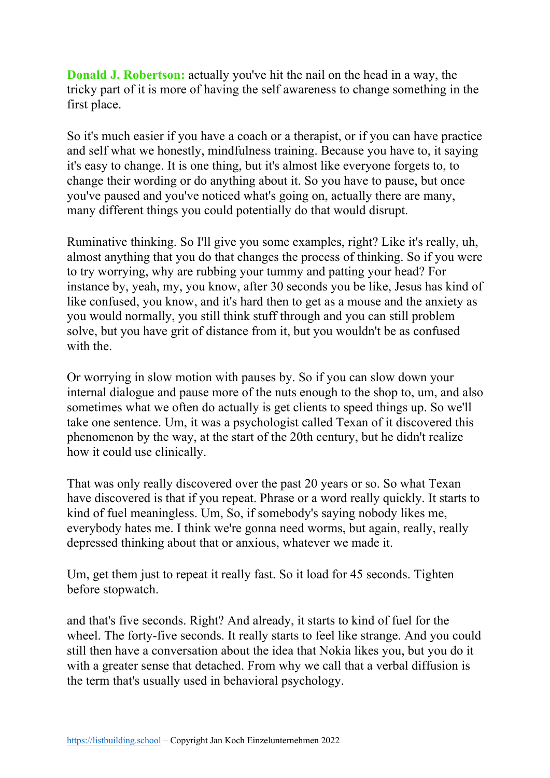**Donald J. Robertson:** actually you've hit the nail on the head in a way, the tricky part of it is more of having the self awareness to change something in the first place.

So it's much easier if you have a coach or a therapist, or if you can have practice and self what we honestly, mindfulness training. Because you have to, it saying it's easy to change. It is one thing, but it's almost like everyone forgets to, to change their wording or do anything about it. So you have to pause, but once you've paused and you've noticed what's going on, actually there are many, many different things you could potentially do that would disrupt.

Ruminative thinking. So I'll give you some examples, right? Like it's really, uh, almost anything that you do that changes the process of thinking. So if you were to try worrying, why are rubbing your tummy and patting your head? For instance by, yeah, my, you know, after 30 seconds you be like, Jesus has kind of like confused, you know, and it's hard then to get as a mouse and the anxiety as you would normally, you still think stuff through and you can still problem solve, but you have grit of distance from it, but you wouldn't be as confused with the

Or worrying in slow motion with pauses by. So if you can slow down your internal dialogue and pause more of the nuts enough to the shop to, um, and also sometimes what we often do actually is get clients to speed things up. So we'll take one sentence. Um, it was a psychologist called Texan of it discovered this phenomenon by the way, at the start of the 20th century, but he didn't realize how it could use clinically.

That was only really discovered over the past 20 years or so. So what Texan have discovered is that if you repeat. Phrase or a word really quickly. It starts to kind of fuel meaningless. Um, So, if somebody's saying nobody likes me, everybody hates me. I think we're gonna need worms, but again, really, really depressed thinking about that or anxious, whatever we made it.

Um, get them just to repeat it really fast. So it load for 45 seconds. Tighten before stopwatch.

and that's five seconds. Right? And already, it starts to kind of fuel for the wheel. The forty-five seconds. It really starts to feel like strange. And you could still then have a conversation about the idea that Nokia likes you, but you do it with a greater sense that detached. From why we call that a verbal diffusion is the term that's usually used in behavioral psychology.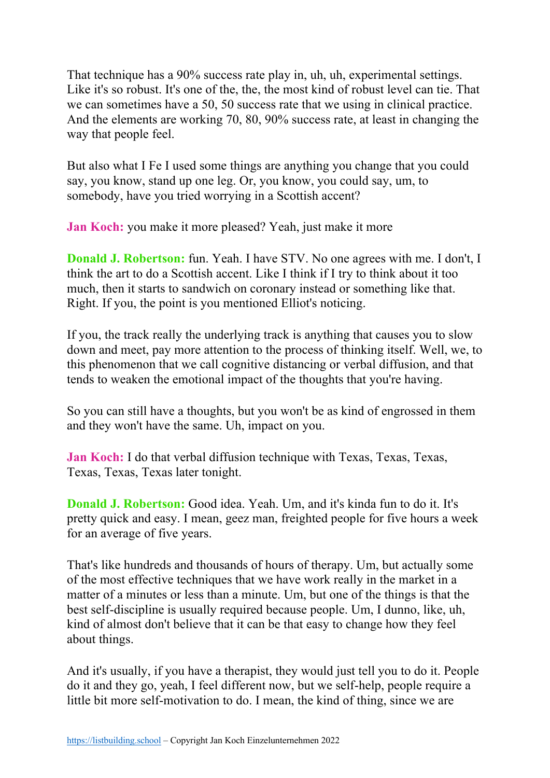That technique has a 90% success rate play in, uh, uh, experimental settings. Like it's so robust. It's one of the, the, the most kind of robust level can tie. That we can sometimes have a 50, 50 success rate that we using in clinical practice. And the elements are working 70, 80, 90% success rate, at least in changing the way that people feel.

But also what I Fe I used some things are anything you change that you could say, you know, stand up one leg. Or, you know, you could say, um, to somebody, have you tried worrying in a Scottish accent?

**Jan Koch:** you make it more pleased? Yeah, just make it more

**Donald J. Robertson:** fun. Yeah. I have STV. No one agrees with me. I don't, I think the art to do a Scottish accent. Like I think if I try to think about it too much, then it starts to sandwich on coronary instead or something like that. Right. If you, the point is you mentioned Elliot's noticing.

If you, the track really the underlying track is anything that causes you to slow down and meet, pay more attention to the process of thinking itself. Well, we, to this phenomenon that we call cognitive distancing or verbal diffusion, and that tends to weaken the emotional impact of the thoughts that you're having.

So you can still have a thoughts, but you won't be as kind of engrossed in them and they won't have the same. Uh, impact on you.

**Jan Koch:** I do that verbal diffusion technique with Texas, Texas, Texas, Texas, Texas, Texas later tonight.

**Donald J. Robertson:** Good idea. Yeah. Um, and it's kinda fun to do it. It's pretty quick and easy. I mean, geez man, freighted people for five hours a week for an average of five years.

That's like hundreds and thousands of hours of therapy. Um, but actually some of the most effective techniques that we have work really in the market in a matter of a minutes or less than a minute. Um, but one of the things is that the best self-discipline is usually required because people. Um, I dunno, like, uh, kind of almost don't believe that it can be that easy to change how they feel about things.

And it's usually, if you have a therapist, they would just tell you to do it. People do it and they go, yeah, I feel different now, but we self-help, people require a little bit more self-motivation to do. I mean, the kind of thing, since we are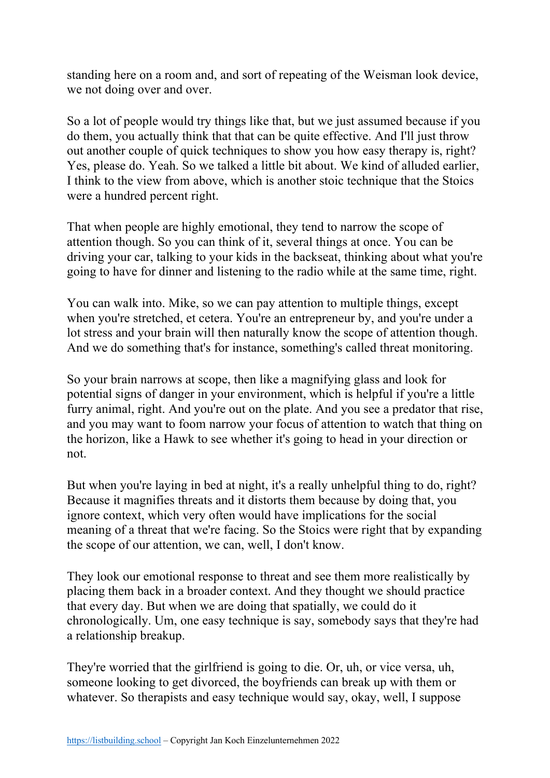standing here on a room and, and sort of repeating of the Weisman look device, we not doing over and over.

So a lot of people would try things like that, but we just assumed because if you do them, you actually think that that can be quite effective. And I'll just throw out another couple of quick techniques to show you how easy therapy is, right? Yes, please do. Yeah. So we talked a little bit about. We kind of alluded earlier, I think to the view from above, which is another stoic technique that the Stoics were a hundred percent right.

That when people are highly emotional, they tend to narrow the scope of attention though. So you can think of it, several things at once. You can be driving your car, talking to your kids in the backseat, thinking about what you're going to have for dinner and listening to the radio while at the same time, right.

You can walk into. Mike, so we can pay attention to multiple things, except when you're stretched, et cetera. You're an entrepreneur by, and you're under a lot stress and your brain will then naturally know the scope of attention though. And we do something that's for instance, something's called threat monitoring.

So your brain narrows at scope, then like a magnifying glass and look for potential signs of danger in your environment, which is helpful if you're a little furry animal, right. And you're out on the plate. And you see a predator that rise, and you may want to foom narrow your focus of attention to watch that thing on the horizon, like a Hawk to see whether it's going to head in your direction or not.

But when you're laying in bed at night, it's a really unhelpful thing to do, right? Because it magnifies threats and it distorts them because by doing that, you ignore context, which very often would have implications for the social meaning of a threat that we're facing. So the Stoics were right that by expanding the scope of our attention, we can, well, I don't know.

They look our emotional response to threat and see them more realistically by placing them back in a broader context. And they thought we should practice that every day. But when we are doing that spatially, we could do it chronologically. Um, one easy technique is say, somebody says that they're had a relationship breakup.

They're worried that the girlfriend is going to die. Or, uh, or vice versa, uh, someone looking to get divorced, the boyfriends can break up with them or whatever. So therapists and easy technique would say, okay, well, I suppose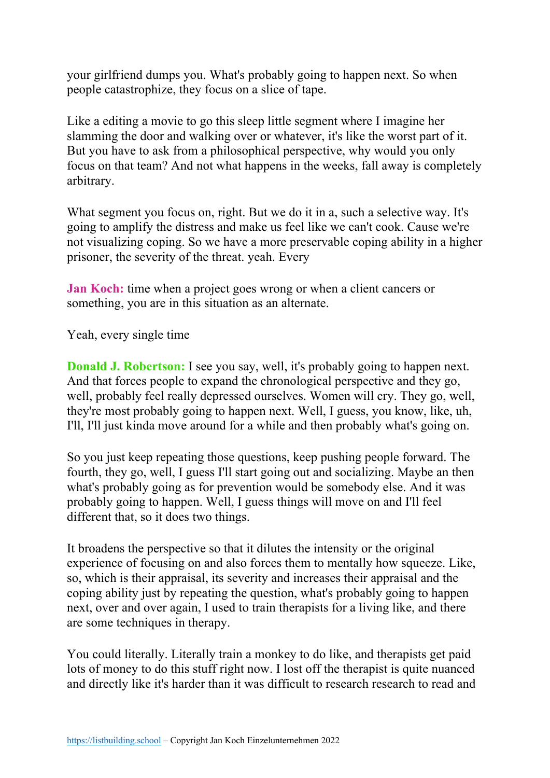your girlfriend dumps you. What's probably going to happen next. So when people catastrophize, they focus on a slice of tape.

Like a editing a movie to go this sleep little segment where I imagine her slamming the door and walking over or whatever, it's like the worst part of it. But you have to ask from a philosophical perspective, why would you only focus on that team? And not what happens in the weeks, fall away is completely arbitrary.

What segment you focus on, right. But we do it in a, such a selective way. It's going to amplify the distress and make us feel like we can't cook. Cause we're not visualizing coping. So we have a more preservable coping ability in a higher prisoner, the severity of the threat. yeah. Every

**Jan Koch:** time when a project goes wrong or when a client cancers or something, you are in this situation as an alternate.

Yeah, every single time

**Donald J. Robertson:** I see you say, well, it's probably going to happen next. And that forces people to expand the chronological perspective and they go, well, probably feel really depressed ourselves. Women will cry. They go, well, they're most probably going to happen next. Well, I guess, you know, like, uh, I'll, I'll just kinda move around for a while and then probably what's going on.

So you just keep repeating those questions, keep pushing people forward. The fourth, they go, well, I guess I'll start going out and socializing. Maybe an then what's probably going as for prevention would be somebody else. And it was probably going to happen. Well, I guess things will move on and I'll feel different that, so it does two things.

It broadens the perspective so that it dilutes the intensity or the original experience of focusing on and also forces them to mentally how squeeze. Like, so, which is their appraisal, its severity and increases their appraisal and the coping ability just by repeating the question, what's probably going to happen next, over and over again, I used to train therapists for a living like, and there are some techniques in therapy.

You could literally. Literally train a monkey to do like, and therapists get paid lots of money to do this stuff right now. I lost off the therapist is quite nuanced and directly like it's harder than it was difficult to research research to read and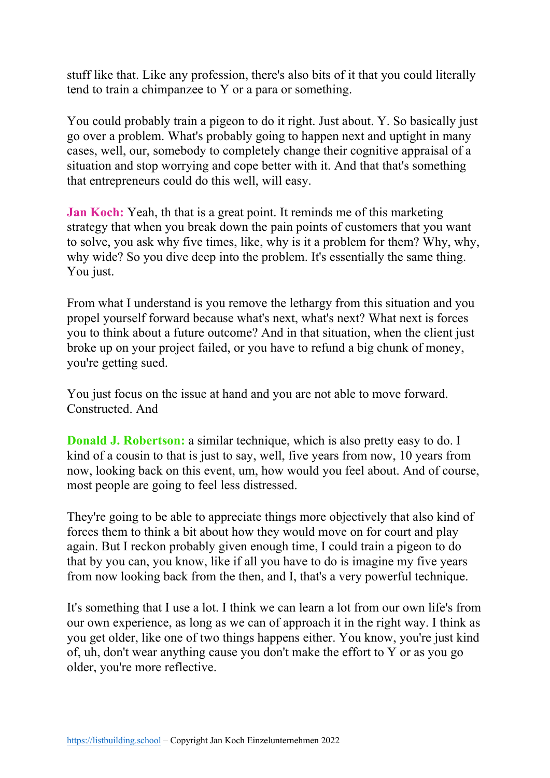stuff like that. Like any profession, there's also bits of it that you could literally tend to train a chimpanzee to Y or a para or something.

You could probably train a pigeon to do it right. Just about. Y. So basically just go over a problem. What's probably going to happen next and uptight in many cases, well, our, somebody to completely change their cognitive appraisal of a situation and stop worrying and cope better with it. And that that's something that entrepreneurs could do this well, will easy.

**Jan Koch:** Yeah, th that is a great point. It reminds me of this marketing strategy that when you break down the pain points of customers that you want to solve, you ask why five times, like, why is it a problem for them? Why, why, why wide? So you dive deep into the problem. It's essentially the same thing. You just.

From what I understand is you remove the lethargy from this situation and you propel yourself forward because what's next, what's next? What next is forces you to think about a future outcome? And in that situation, when the client just broke up on your project failed, or you have to refund a big chunk of money, you're getting sued.

You just focus on the issue at hand and you are not able to move forward. Constructed. And

**Donald J. Robertson:** a similar technique, which is also pretty easy to do. I kind of a cousin to that is just to say, well, five years from now, 10 years from now, looking back on this event, um, how would you feel about. And of course, most people are going to feel less distressed.

They're going to be able to appreciate things more objectively that also kind of forces them to think a bit about how they would move on for court and play again. But I reckon probably given enough time, I could train a pigeon to do that by you can, you know, like if all you have to do is imagine my five years from now looking back from the then, and I, that's a very powerful technique.

It's something that I use a lot. I think we can learn a lot from our own life's from our own experience, as long as we can of approach it in the right way. I think as you get older, like one of two things happens either. You know, you're just kind of, uh, don't wear anything cause you don't make the effort to Y or as you go older, you're more reflective.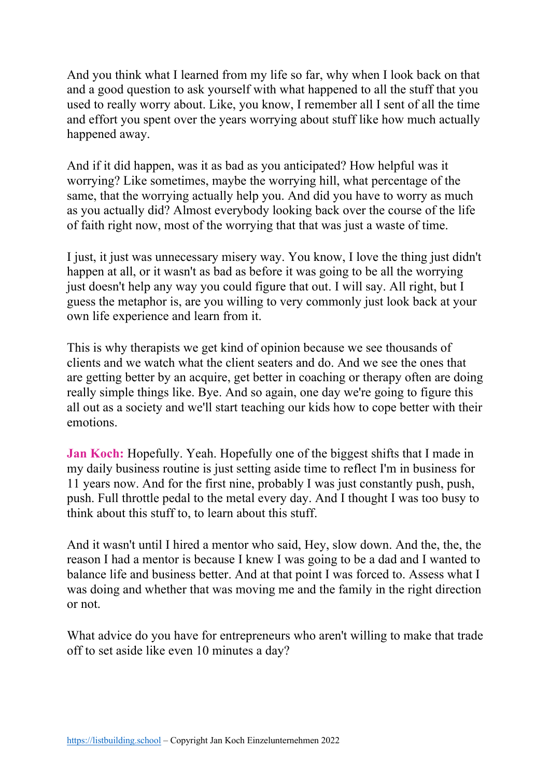And you think what I learned from my life so far, why when I look back on that and a good question to ask yourself with what happened to all the stuff that you used to really worry about. Like, you know, I remember all I sent of all the time and effort you spent over the years worrying about stuff like how much actually happened away.

And if it did happen, was it as bad as you anticipated? How helpful was it worrying? Like sometimes, maybe the worrying hill, what percentage of the same, that the worrying actually help you. And did you have to worry as much as you actually did? Almost everybody looking back over the course of the life of faith right now, most of the worrying that that was just a waste of time.

I just, it just was unnecessary misery way. You know, I love the thing just didn't happen at all, or it wasn't as bad as before it was going to be all the worrying just doesn't help any way you could figure that out. I will say. All right, but I guess the metaphor is, are you willing to very commonly just look back at your own life experience and learn from it.

This is why therapists we get kind of opinion because we see thousands of clients and we watch what the client seaters and do. And we see the ones that are getting better by an acquire, get better in coaching or therapy often are doing really simple things like. Bye. And so again, one day we're going to figure this all out as a society and we'll start teaching our kids how to cope better with their emotions.

**Jan Koch:** Hopefully. Yeah. Hopefully one of the biggest shifts that I made in my daily business routine is just setting aside time to reflect I'm in business for 11 years now. And for the first nine, probably I was just constantly push, push, push. Full throttle pedal to the metal every day. And I thought I was too busy to think about this stuff to, to learn about this stuff.

And it wasn't until I hired a mentor who said, Hey, slow down. And the, the, the reason I had a mentor is because I knew I was going to be a dad and I wanted to balance life and business better. And at that point I was forced to. Assess what I was doing and whether that was moving me and the family in the right direction or not.

What advice do you have for entrepreneurs who aren't willing to make that trade off to set aside like even 10 minutes a day?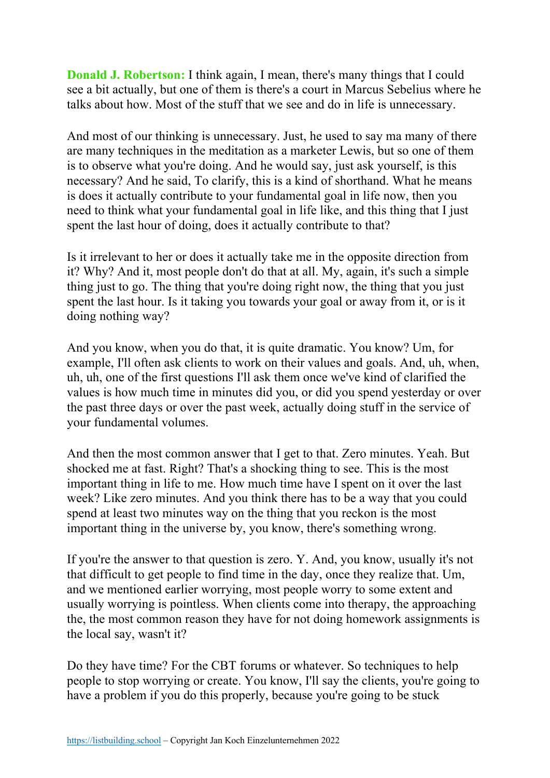**Donald J. Robertson:** I think again, I mean, there's many things that I could see a bit actually, but one of them is there's a court in Marcus Sebelius where he talks about how. Most of the stuff that we see and do in life is unnecessary.

And most of our thinking is unnecessary. Just, he used to say ma many of there are many techniques in the meditation as a marketer Lewis, but so one of them is to observe what you're doing. And he would say, just ask yourself, is this necessary? And he said, To clarify, this is a kind of shorthand. What he means is does it actually contribute to your fundamental goal in life now, then you need to think what your fundamental goal in life like, and this thing that I just spent the last hour of doing, does it actually contribute to that?

Is it irrelevant to her or does it actually take me in the opposite direction from it? Why? And it, most people don't do that at all. My, again, it's such a simple thing just to go. The thing that you're doing right now, the thing that you just spent the last hour. Is it taking you towards your goal or away from it, or is it doing nothing way?

And you know, when you do that, it is quite dramatic. You know? Um, for example, I'll often ask clients to work on their values and goals. And, uh, when, uh, uh, one of the first questions I'll ask them once we've kind of clarified the values is how much time in minutes did you, or did you spend yesterday or over the past three days or over the past week, actually doing stuff in the service of your fundamental volumes.

And then the most common answer that I get to that. Zero minutes. Yeah. But shocked me at fast. Right? That's a shocking thing to see. This is the most important thing in life to me. How much time have I spent on it over the last week? Like zero minutes. And you think there has to be a way that you could spend at least two minutes way on the thing that you reckon is the most important thing in the universe by, you know, there's something wrong.

If you're the answer to that question is zero. Y. And, you know, usually it's not that difficult to get people to find time in the day, once they realize that. Um, and we mentioned earlier worrying, most people worry to some extent and usually worrying is pointless. When clients come into therapy, the approaching the, the most common reason they have for not doing homework assignments is the local say, wasn't it?

Do they have time? For the CBT forums or whatever. So techniques to help people to stop worrying or create. You know, I'll say the clients, you're going to have a problem if you do this properly, because you're going to be stuck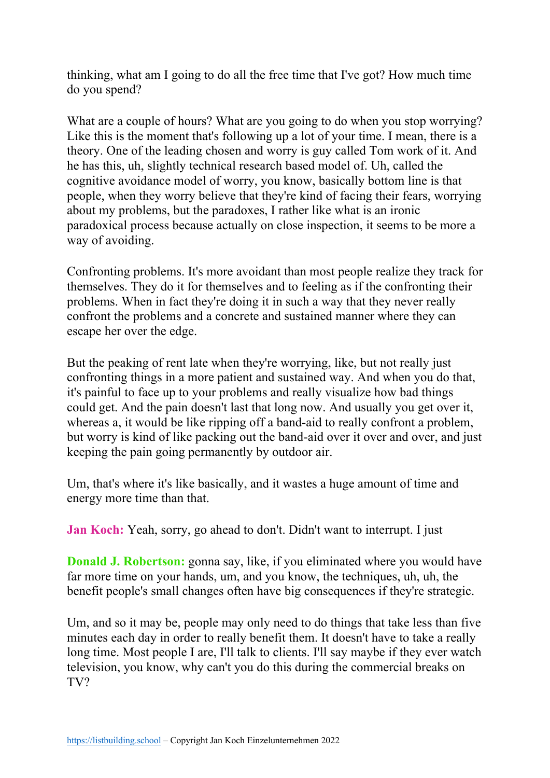thinking, what am I going to do all the free time that I've got? How much time do you spend?

What are a couple of hours? What are you going to do when you stop worrying? Like this is the moment that's following up a lot of your time. I mean, there is a theory. One of the leading chosen and worry is guy called Tom work of it. And he has this, uh, slightly technical research based model of. Uh, called the cognitive avoidance model of worry, you know, basically bottom line is that people, when they worry believe that they're kind of facing their fears, worrying about my problems, but the paradoxes, I rather like what is an ironic paradoxical process because actually on close inspection, it seems to be more a way of avoiding.

Confronting problems. It's more avoidant than most people realize they track for themselves. They do it for themselves and to feeling as if the confronting their problems. When in fact they're doing it in such a way that they never really confront the problems and a concrete and sustained manner where they can escape her over the edge.

But the peaking of rent late when they're worrying, like, but not really just confronting things in a more patient and sustained way. And when you do that, it's painful to face up to your problems and really visualize how bad things could get. And the pain doesn't last that long now. And usually you get over it, whereas a, it would be like ripping off a band-aid to really confront a problem, but worry is kind of like packing out the band-aid over it over and over, and just keeping the pain going permanently by outdoor air.

Um, that's where it's like basically, and it wastes a huge amount of time and energy more time than that.

**Jan Koch:** Yeah, sorry, go ahead to don't. Didn't want to interrupt. I just

**Donald J. Robertson:** gonna say, like, if you eliminated where you would have far more time on your hands, um, and you know, the techniques, uh, uh, the benefit people's small changes often have big consequences if they're strategic.

Um, and so it may be, people may only need to do things that take less than five minutes each day in order to really benefit them. It doesn't have to take a really long time. Most people I are, I'll talk to clients. I'll say maybe if they ever watch television, you know, why can't you do this during the commercial breaks on TV?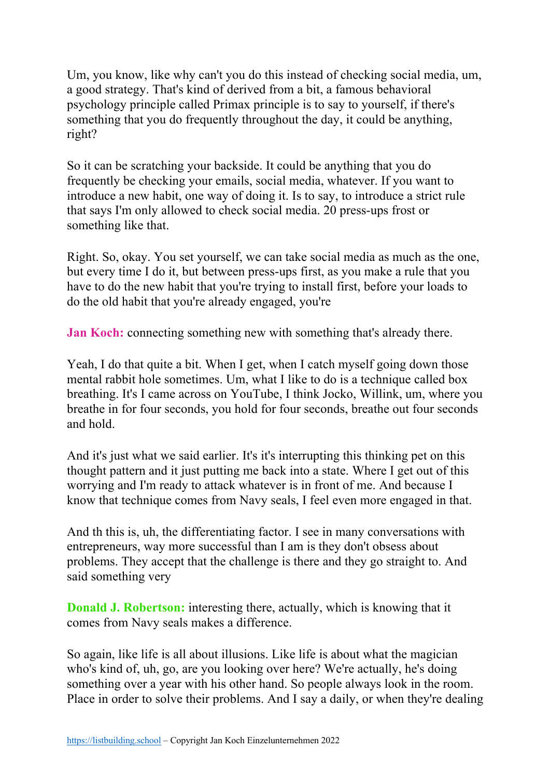Um, you know, like why can't you do this instead of checking social media, um, a good strategy. That's kind of derived from a bit, a famous behavioral psychology principle called Primax principle is to say to yourself, if there's something that you do frequently throughout the day, it could be anything, right?

So it can be scratching your backside. It could be anything that you do frequently be checking your emails, social media, whatever. If you want to introduce a new habit, one way of doing it. Is to say, to introduce a strict rule that says I'm only allowed to check social media. 20 press-ups frost or something like that.

Right. So, okay. You set yourself, we can take social media as much as the one, but every time I do it, but between press-ups first, as you make a rule that you have to do the new habit that you're trying to install first, before your loads to do the old habit that you're already engaged, you're

**Jan Koch:** connecting something new with something that's already there.

Yeah, I do that quite a bit. When I get, when I catch myself going down those mental rabbit hole sometimes. Um, what I like to do is a technique called box breathing. It's I came across on YouTube, I think Jocko, Willink, um, where you breathe in for four seconds, you hold for four seconds, breathe out four seconds and hold.

And it's just what we said earlier. It's it's interrupting this thinking pet on this thought pattern and it just putting me back into a state. Where I get out of this worrying and I'm ready to attack whatever is in front of me. And because I know that technique comes from Navy seals, I feel even more engaged in that.

And th this is, uh, the differentiating factor. I see in many conversations with entrepreneurs, way more successful than I am is they don't obsess about problems. They accept that the challenge is there and they go straight to. And said something very

**Donald J. Robertson:** interesting there, actually, which is knowing that it comes from Navy seals makes a difference.

So again, like life is all about illusions. Like life is about what the magician who's kind of, uh, go, are you looking over here? We're actually, he's doing something over a year with his other hand. So people always look in the room. Place in order to solve their problems. And I say a daily, or when they're dealing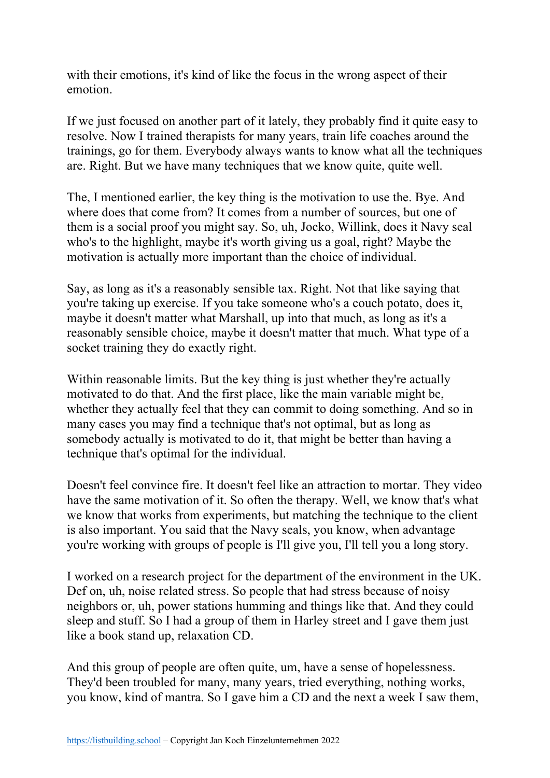with their emotions, it's kind of like the focus in the wrong aspect of their emotion.

If we just focused on another part of it lately, they probably find it quite easy to resolve. Now I trained therapists for many years, train life coaches around the trainings, go for them. Everybody always wants to know what all the techniques are. Right. But we have many techniques that we know quite, quite well.

The, I mentioned earlier, the key thing is the motivation to use the. Bye. And where does that come from? It comes from a number of sources, but one of them is a social proof you might say. So, uh, Jocko, Willink, does it Navy seal who's to the highlight, maybe it's worth giving us a goal, right? Maybe the motivation is actually more important than the choice of individual.

Say, as long as it's a reasonably sensible tax. Right. Not that like saying that you're taking up exercise. If you take someone who's a couch potato, does it, maybe it doesn't matter what Marshall, up into that much, as long as it's a reasonably sensible choice, maybe it doesn't matter that much. What type of a socket training they do exactly right.

Within reasonable limits. But the key thing is just whether they're actually motivated to do that. And the first place, like the main variable might be, whether they actually feel that they can commit to doing something. And so in many cases you may find a technique that's not optimal, but as long as somebody actually is motivated to do it, that might be better than having a technique that's optimal for the individual.

Doesn't feel convince fire. It doesn't feel like an attraction to mortar. They video have the same motivation of it. So often the therapy. Well, we know that's what we know that works from experiments, but matching the technique to the client is also important. You said that the Navy seals, you know, when advantage you're working with groups of people is I'll give you, I'll tell you a long story.

I worked on a research project for the department of the environment in the UK. Def on, uh, noise related stress. So people that had stress because of noisy neighbors or, uh, power stations humming and things like that. And they could sleep and stuff. So I had a group of them in Harley street and I gave them just like a book stand up, relaxation CD.

And this group of people are often quite, um, have a sense of hopelessness. They'd been troubled for many, many years, tried everything, nothing works, you know, kind of mantra. So I gave him a CD and the next a week I saw them,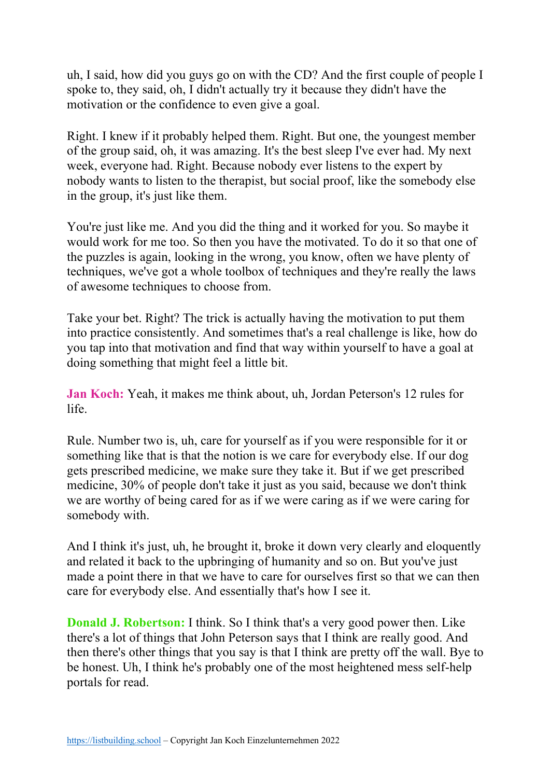uh, I said, how did you guys go on with the CD? And the first couple of people I spoke to, they said, oh, I didn't actually try it because they didn't have the motivation or the confidence to even give a goal.

Right. I knew if it probably helped them. Right. But one, the youngest member of the group said, oh, it was amazing. It's the best sleep I've ever had. My next week, everyone had. Right. Because nobody ever listens to the expert by nobody wants to listen to the therapist, but social proof, like the somebody else in the group, it's just like them.

You're just like me. And you did the thing and it worked for you. So maybe it would work for me too. So then you have the motivated. To do it so that one of the puzzles is again, looking in the wrong, you know, often we have plenty of techniques, we've got a whole toolbox of techniques and they're really the laws of awesome techniques to choose from.

Take your bet. Right? The trick is actually having the motivation to put them into practice consistently. And sometimes that's a real challenge is like, how do you tap into that motivation and find that way within yourself to have a goal at doing something that might feel a little bit.

**Jan Koch:** Yeah, it makes me think about, uh, Jordan Peterson's 12 rules for life.

Rule. Number two is, uh, care for yourself as if you were responsible for it or something like that is that the notion is we care for everybody else. If our dog gets prescribed medicine, we make sure they take it. But if we get prescribed medicine, 30% of people don't take it just as you said, because we don't think we are worthy of being cared for as if we were caring as if we were caring for somebody with.

And I think it's just, uh, he brought it, broke it down very clearly and eloquently and related it back to the upbringing of humanity and so on. But you've just made a point there in that we have to care for ourselves first so that we can then care for everybody else. And essentially that's how I see it.

**Donald J. Robertson:** I think. So I think that's a very good power then. Like there's a lot of things that John Peterson says that I think are really good. And then there's other things that you say is that I think are pretty off the wall. Bye to be honest. Uh, I think he's probably one of the most heightened mess self-help portals for read.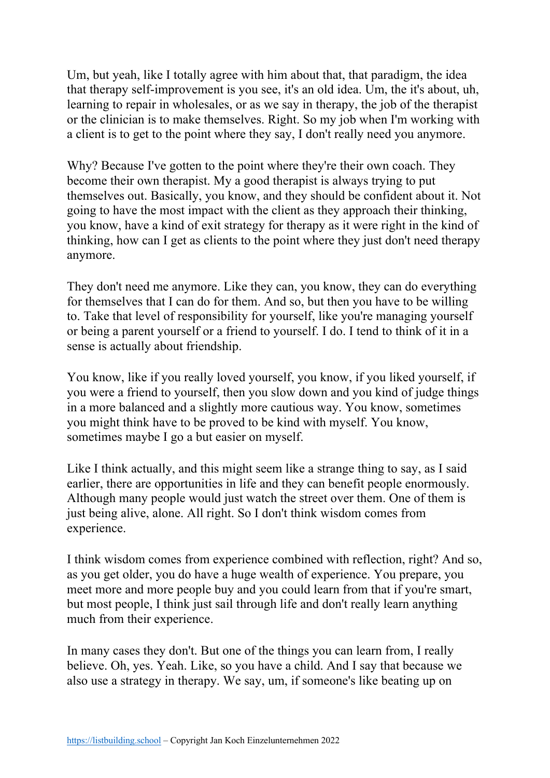Um, but yeah, like I totally agree with him about that, that paradigm, the idea that therapy self-improvement is you see, it's an old idea. Um, the it's about, uh, learning to repair in wholesales, or as we say in therapy, the job of the therapist or the clinician is to make themselves. Right. So my job when I'm working with a client is to get to the point where they say, I don't really need you anymore.

Why? Because I've gotten to the point where they're their own coach. They become their own therapist. My a good therapist is always trying to put themselves out. Basically, you know, and they should be confident about it. Not going to have the most impact with the client as they approach their thinking, you know, have a kind of exit strategy for therapy as it were right in the kind of thinking, how can I get as clients to the point where they just don't need therapy anymore.

They don't need me anymore. Like they can, you know, they can do everything for themselves that I can do for them. And so, but then you have to be willing to. Take that level of responsibility for yourself, like you're managing yourself or being a parent yourself or a friend to yourself. I do. I tend to think of it in a sense is actually about friendship.

You know, like if you really loved yourself, you know, if you liked yourself, if you were a friend to yourself, then you slow down and you kind of judge things in a more balanced and a slightly more cautious way. You know, sometimes you might think have to be proved to be kind with myself. You know, sometimes maybe I go a but easier on myself.

Like I think actually, and this might seem like a strange thing to say, as I said earlier, there are opportunities in life and they can benefit people enormously. Although many people would just watch the street over them. One of them is just being alive, alone. All right. So I don't think wisdom comes from experience.

I think wisdom comes from experience combined with reflection, right? And so, as you get older, you do have a huge wealth of experience. You prepare, you meet more and more people buy and you could learn from that if you're smart, but most people, I think just sail through life and don't really learn anything much from their experience.

In many cases they don't. But one of the things you can learn from, I really believe. Oh, yes. Yeah. Like, so you have a child. And I say that because we also use a strategy in therapy. We say, um, if someone's like beating up on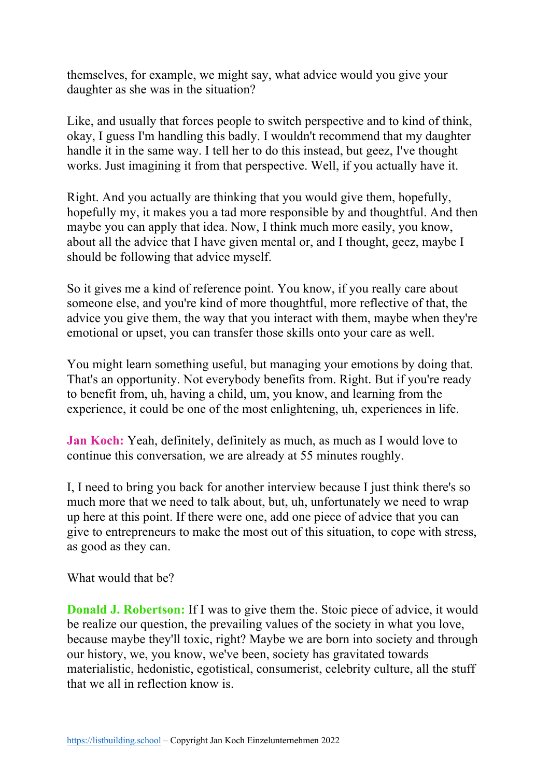themselves, for example, we might say, what advice would you give your daughter as she was in the situation?

Like, and usually that forces people to switch perspective and to kind of think, okay, I guess I'm handling this badly. I wouldn't recommend that my daughter handle it in the same way. I tell her to do this instead, but geez, I've thought works. Just imagining it from that perspective. Well, if you actually have it.

Right. And you actually are thinking that you would give them, hopefully, hopefully my, it makes you a tad more responsible by and thoughtful. And then maybe you can apply that idea. Now, I think much more easily, you know, about all the advice that I have given mental or, and I thought, geez, maybe I should be following that advice myself.

So it gives me a kind of reference point. You know, if you really care about someone else, and you're kind of more thoughtful, more reflective of that, the advice you give them, the way that you interact with them, maybe when they're emotional or upset, you can transfer those skills onto your care as well.

You might learn something useful, but managing your emotions by doing that. That's an opportunity. Not everybody benefits from. Right. But if you're ready to benefit from, uh, having a child, um, you know, and learning from the experience, it could be one of the most enlightening, uh, experiences in life.

**Jan Koch:** Yeah, definitely, definitely as much, as much as I would love to continue this conversation, we are already at 55 minutes roughly.

I, I need to bring you back for another interview because I just think there's so much more that we need to talk about, but, uh, unfortunately we need to wrap up here at this point. If there were one, add one piece of advice that you can give to entrepreneurs to make the most out of this situation, to cope with stress, as good as they can.

What would that be?

**Donald J. Robertson:** If I was to give them the. Stoic piece of advice, it would be realize our question, the prevailing values of the society in what you love, because maybe they'll toxic, right? Maybe we are born into society and through our history, we, you know, we've been, society has gravitated towards materialistic, hedonistic, egotistical, consumerist, celebrity culture, all the stuff that we all in reflection know is.